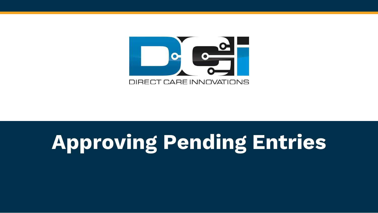

# Approving Pending Entries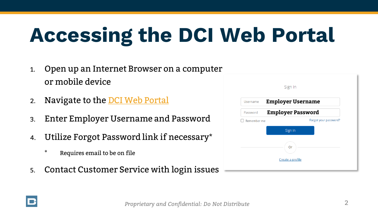# **Accessing the DCI Web Portal**

- 1. Open up an Internet Browser on a computer or mobile device
- 2. Navigate to the [DCI Web Portal](https://outreach.dcisoftware.com/)
- 3. Enter Employer Username and Password
- 4. Utilize Forgot Password link if necessary\*
	- ⃰ Requires email to be on file
- 5. Contact Customer Service with login issues

| Sign In                              |
|--------------------------------------|
| <b>Employer Username</b>             |
| <b>Employer Password</b>             |
| Forgot your password?<br>Remember me |
| Sign In                              |
| Or                                   |
| Create a profile                     |
|                                      |

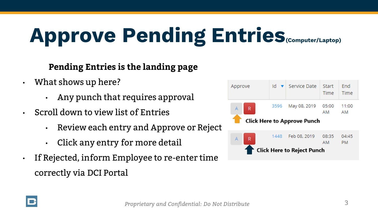# **Approve Pending Entries(Computer/Laptop)**

#### **Pending Entries is the landing page**

- What shows up here?
	- Any punch that requires approval
- Scroll down to view list of Entries
	- Review each entry and Approve or Reject
	- Click any entry for more detail
- If Rejected, inform Employee to re-enter time correctly via DCI Portal



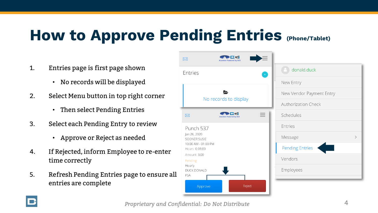### **How to Approve Pending Entries (Phone/Tablet)**

- 1. Entries page is first page shown
	- No records will be displayed
- 2. Select Menu button in top right corner
	- Then select Pending Entries
- 3. Select each Pending Entry to review
	- Approve or Reject as needed
- 4. If Rejected, inform Employee to re-enter time correctly
- 5. Refresh Pending Entries page to ensure all entries are complete



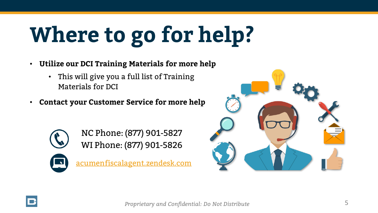# **Where to go for help?**

- **Utilize our DCI Training Materials for more help**
	- This will give you a full list of Training Materials for DCI
- **Contact your Customer Service for more help**



NC Phone: (877) 901-5827 WI Phone: (877) 901-5826

[acumenfiscalagent.zendesk.com](https://acumenfiscalagent.zendesk.com/hc/en-us)